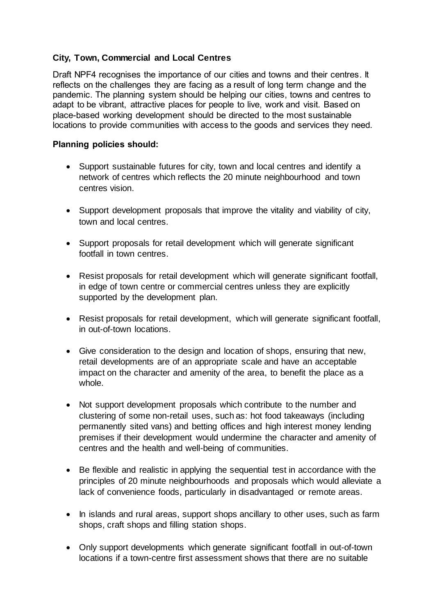## **City, Town, Commercial and Local Centres**

Draft NPF4 recognises the importance of our cities and towns and their centres. It reflects on the challenges they are facing as a result of long term change and the pandemic. The planning system should be helping our cities, towns and centres to adapt to be vibrant, attractive places for people to live, work and visit. Based on place-based working development should be directed to the most sustainable locations to provide communities with access to the goods and services they need.

## **Planning policies should:**

- Support sustainable futures for city, town and local centres and identify a network of centres which reflects the 20 minute neighbourhood and town centres vision.
- Support development proposals that improve the vitality and viability of city, town and local centres.
- Support proposals for retail development which will generate significant footfall in town centres.
- Resist proposals for retail development which will generate significant footfall, in edge of town centre or commercial centres unless they are explicitly supported by the development plan.
- Resist proposals for retail development, which will generate significant footfall, in out-of-town locations.
- Give consideration to the design and location of shops, ensuring that new, retail developments are of an appropriate scale and have an acceptable impact on the character and amenity of the area, to benefit the place as a whole.
- Not support development proposals which contribute to the number and clustering of some non-retail uses, such as: hot food takeaways (including permanently sited vans) and betting offices and high interest money lending premises if their development would undermine the character and amenity of centres and the health and well-being of communities.
- Be flexible and realistic in applying the sequential test in accordance with the principles of 20 minute neighbourhoods and proposals which would alleviate a lack of convenience foods, particularly in disadvantaged or remote areas.
- In islands and rural areas, support shops ancillary to other uses, such as farm shops, craft shops and filling station shops.
- Only support developments which generate significant footfall in out-of-town locations if a town-centre first assessment shows that there are no suitable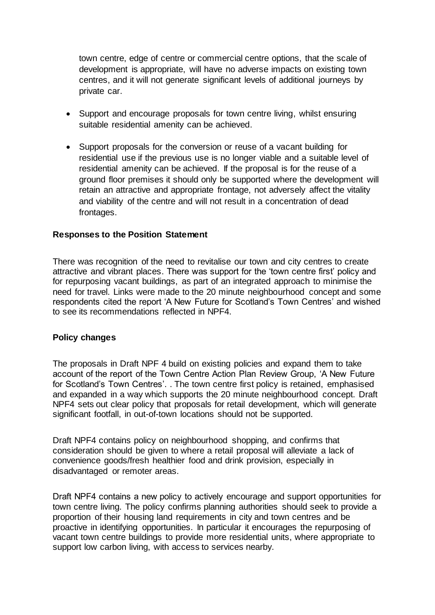town centre, edge of centre or commercial centre options, that the scale of development is appropriate, will have no adverse impacts on existing town centres, and it will not generate significant levels of additional journeys by private car.

- Support and encourage proposals for town centre living, whilst ensuring suitable residential amenity can be achieved.
- Support proposals for the conversion or reuse of a vacant building for residential use if the previous use is no longer viable and a suitable level of residential amenity can be achieved. If the proposal is for the reuse of a ground floor premises it should only be supported where the development will retain an attractive and appropriate frontage, not adversely affect the vitality and viability of the centre and will not result in a concentration of dead frontages.

## **Responses to the Position Statement**

There was recognition of the need to revitalise our town and city centres to create attractive and vibrant places. There was support for the 'town centre first' policy and for repurposing vacant buildings, as part of an integrated approach to minimise the need for travel. Links were made to the 20 minute neighbourhood concept and some respondents cited the report 'A New Future for Scotland's Town Centres' and wished to see its recommendations reflected in NPF4.

## **Policy changes**

The proposals in Draft NPF 4 build on existing policies and expand them to take account of the report of the Town Centre Action Plan Review Group, 'A New Future for Scotland's Town Centres'. . The town centre first policy is retained, emphasised and expanded in a way which supports the 20 minute neighbourhood concept. Draft NPF4 sets out clear policy that proposals for retail development, which will generate significant footfall, in out-of-town locations should not be supported.

Draft NPF4 contains policy on neighbourhood shopping, and confirms that consideration should be given to where a retail proposal will alleviate a lack of convenience goods/fresh healthier food and drink provision, especially in disadvantaged or remoter areas.

Draft NPF4 contains a new policy to actively encourage and support opportunities for town centre living. The policy confirms planning authorities should seek to provide a proportion of their housing land requirements in city and town centres and be proactive in identifying opportunities. In particular it encourages the repurposing of vacant town centre buildings to provide more residential units, where appropriate to support low carbon living, with access to services nearby.